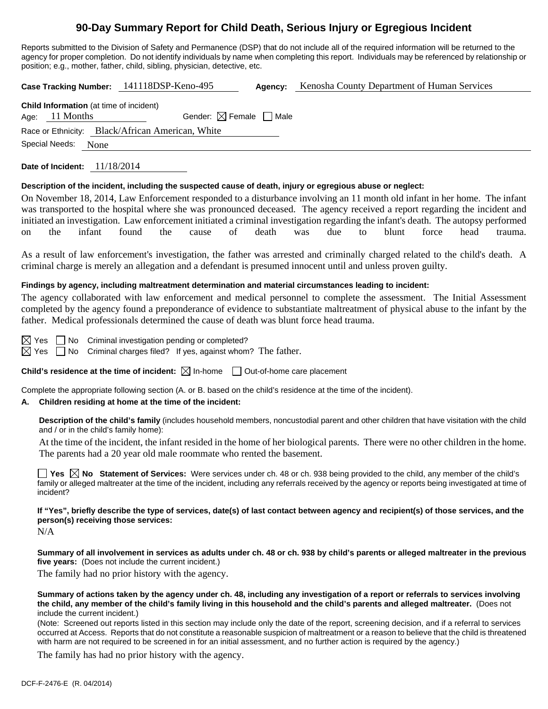# **90-Day Summary Report for Child Death, Serious Injury or Egregious Incident**

Reports submitted to the Division of Safety and Permanence (DSP) that do not include all of the required information will be returned to the agency for proper completion. Do not identify individuals by name when completing this report. Individuals may be referenced by relationship or position; e.g., mother, father, child, sibling, physician, detective, etc.

**Case Tracking Number:** 141118DSP-Keno-495 **Agency:** Kenosha County Department of Human Services

|                  | <b>Child Information</b> (at time of incident) |                                                  |  |
|------------------|------------------------------------------------|--------------------------------------------------|--|
| Age: $11$ Months |                                                | Gender: $\boxtimes$ Female $\Box$ Male           |  |
|                  |                                                | Race or Ethnicity: Black/African American, White |  |
| Special Needs:   | None                                           |                                                  |  |

**Date of Incident:** 11/18/2014

#### **Description of the incident, including the suspected cause of death, injury or egregious abuse or neglect:**

On November 18, 2014, Law Enforcement responded to a disturbance involving an 11 month old infant in her home. The infant was transported to the hospital where she was pronounced deceased. The agency received a report regarding the incident and initiated an investigation. Law enforcement initiated a criminal investigation regarding the infant's death. The autopsy performed on the infant found the cause of death was due to blunt force head trauma.

As a result of law enforcement's investigation, the father was arrested and criminally charged related to the child's death. A criminal charge is merely an allegation and a defendant is presumed innocent until and unless proven guilty.

#### **Findings by agency, including maltreatment determination and material circumstances leading to incident:**

The agency collaborated with law enforcement and medical personnel to complete the assessment. The Initial Assessment completed by the agency found a preponderance of evidence to substantiate maltreatment of physical abuse to the infant by the father. Medical professionals determined the cause of death was blunt force head trauma.

Yes No Criminal investigation pending or completed?

 $\boxtimes$  Yes  $\Box$  No Criminal charges filed? If yes, against whom? The father.

**Child's residence at the time of incident:**  $\boxtimes$  In-home  $\Box$  Out-of-home care placement

Complete the appropriate following section (A. or B. based on the child's residence at the time of the incident).

## **A. Children residing at home at the time of the incident:**

**Description of the child's family** (includes household members, noncustodial parent and other children that have visitation with the child and / or in the child's family home):

 At the time of the incident, the infant resided in the home of her biological parents. There were no other children in the home. The parents had a 20 year old male roommate who rented the basement.

**Yes**  $\boxtimes$  **No** Statement of Services: Were services under ch. 48 or ch. 938 being provided to the child, any member of the child's family or alleged maltreater at the time of the incident, including any referrals received by the agency or reports being investigated at time of incident?

# **If "Yes", briefly describe the type of services, date(s) of last contact between agency and recipient(s) of those services, and the person(s) receiving those services:**

N/A

**Summary of all involvement in services as adults under ch. 48 or ch. 938 by child's parents or alleged maltreater in the previous five years:** (Does not include the current incident.)

The family had no prior history with the agency.

**Summary of actions taken by the agency under ch. 48, including any investigation of a report or referrals to services involving the child, any member of the child's family living in this household and the child's parents and alleged maltreater.** (Does not include the current incident.)

(Note: Screened out reports listed in this section may include only the date of the report, screening decision, and if a referral to services occurred at Access. Reports that do not constitute a reasonable suspicion of maltreatment or a reason to believe that the child is threatened with harm are not required to be screened in for an initial assessment, and no further action is required by the agency.)

The family has had no prior history with the agency.